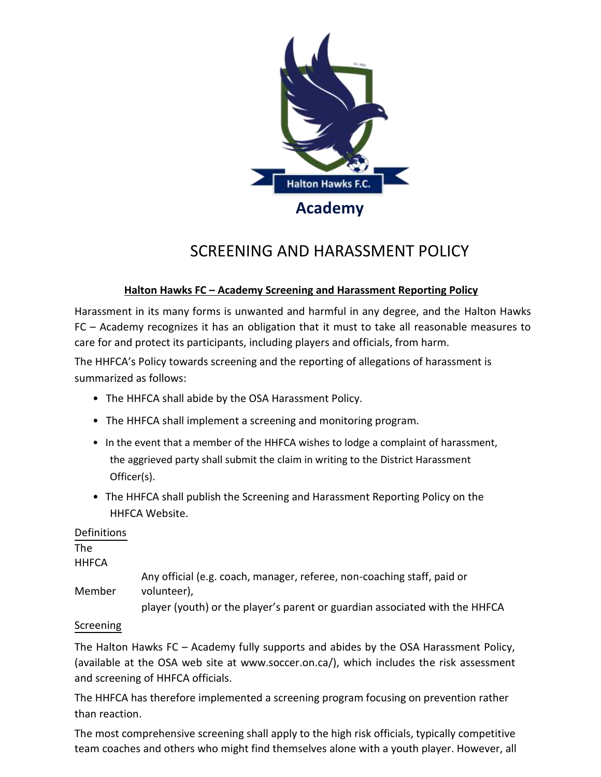

## **Halton Hawks FC – Academy Screening and Harassment Reporting Policy**

Harassment in its many forms is unwanted and harmful in any degree, and the Halton Hawks FC – Academy recognizes it has an obligation that it must to take all reasonable measures to care for and protect its participants, including players and officials, from harm.

The HHFCA's Policy towards screening and the reporting of allegations of harassment is summarized as follows:

- The HHFCA shall abide by the OSA Harassment Policy.
- The HHFCA shall implement a screening and monitoring program.
- In the event that a member of the HHFCA wishes to lodge a complaint of harassment, the aggrieved party shall submit the claim in writing to the District Harassment Officer(s).
- The HHFCA shall publish the Screening and Harassment Reporting Policy on the HHFCA Website.

## Definitions

The

**HHFCA** 

- Member Any official (e.g. coach, manager, referee, non-coaching staff, paid or volunteer),
	- player (youth) or the player's parent or guardian associated with the HHFCA

## Screening

The Halton Hawks FC – Academy fully supports and abides by the OSA Harassment Policy, (available at the OSA web site at www.soccer.on.ca/), which includes the risk assessment and screening of HHFCA officials.

The HHFCA has therefore implemented a screening program focusing on prevention rather than reaction.

The most comprehensive screening shall apply to the high risk officials, typically competitive team coaches and others who might find themselves alone with a youth player. However, all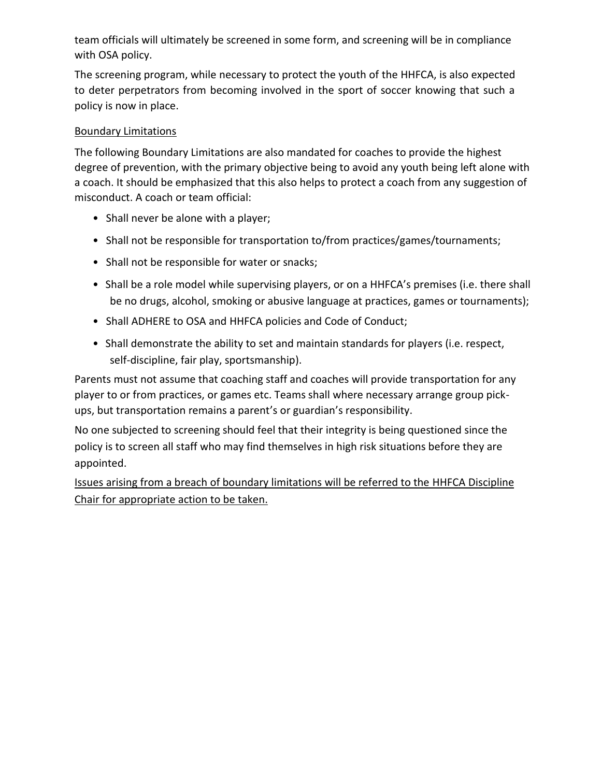team officials will ultimately be screened in some form, and screening will be in compliance with OSA policy.

The screening program, while necessary to protect the youth of the HHFCA, is also expected to deter perpetrators from becoming involved in the sport of soccer knowing that such a policy is now in place.

## Boundary Limitations

The following Boundary Limitations are also mandated for coaches to provide the highest degree of prevention, with the primary objective being to avoid any youth being left alone with a coach. It should be emphasized that this also helps to protect a coach from any suggestion of misconduct. A coach or team official:

- Shall never be alone with a player;
- Shall not be responsible for transportation to/from practices/games/tournaments;
- Shall not be responsible for water or snacks;
- Shall be a role model while supervising players, or on a HHFCA's premises (i.e. there shall be no drugs, alcohol, smoking or abusive language at practices, games or tournaments);
- Shall ADHERE to OSA and HHFCA policies and Code of Conduct;
- Shall demonstrate the ability to set and maintain standards for players (i.e. respect, self-discipline, fair play, sportsmanship).

Parents must not assume that coaching staff and coaches will provide transportation for any player to or from practices, or games etc. Teams shall where necessary arrange group pickups, but transportation remains a parent's or guardian's responsibility.

No one subjected to screening should feel that their integrity is being questioned since the policy is to screen all staff who may find themselves in high risk situations before they are appointed.

Issues arising from a breach of boundary limitations will be referred to the HHFCA Discipline Chair for appropriate action to be taken.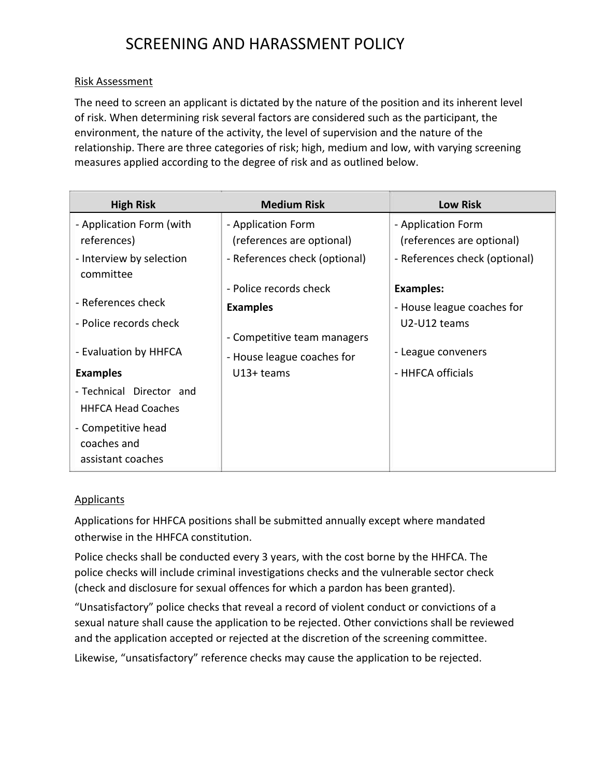### Risk Assessment

The need to screen an applicant is dictated by the nature of the position and its inherent level of risk. When determining risk several factors are considered such as the participant, the environment, the nature of the activity, the level of supervision and the nature of the relationship. There are three categories of risk; high, medium and low, with varying screening measures applied according to the degree of risk and as outlined below.

| <b>High Risk</b>                                       | <b>Medium Risk</b>                                        | <b>Low Risk</b>                                 |
|--------------------------------------------------------|-----------------------------------------------------------|-------------------------------------------------|
| - Application Form (with<br>references)                | - Application Form<br>(references are optional)           | - Application Form<br>(references are optional) |
| - Interview by selection                               | - References check (optional)                             | - References check (optional)                   |
| committee                                              | - Police records check                                    | <b>Examples:</b>                                |
| - References check<br>- Police records check           | <b>Examples</b>                                           | - House league coaches for<br>U2-U12 teams      |
| - Evaluation by HHFCA                                  | - Competitive team managers<br>- House league coaches for | - League conveners                              |
| <b>Examples</b>                                        | $U13+$ teams                                              | - HHFCA officials                               |
| - Technical Director and<br><b>HHFCA Head Coaches</b>  |                                                           |                                                 |
| - Competitive head<br>coaches and<br>assistant coaches |                                                           |                                                 |

#### **Applicants**

Applications for HHFCA positions shall be submitted annually except where mandated otherwise in the HHFCA constitution.

Police checks shall be conducted every 3 years, with the cost borne by the HHFCA. The police checks will include criminal investigations checks and the vulnerable sector check (check and disclosure for sexual offences for which a pardon has been granted).

"Unsatisfactory" police checks that reveal a record of violent conduct or convictions of a sexual nature shall cause the application to be rejected. Other convictions shall be reviewed and the application accepted or rejected at the discretion of the screening committee. Likewise, "unsatisfactory" reference checks may cause the application to be rejected.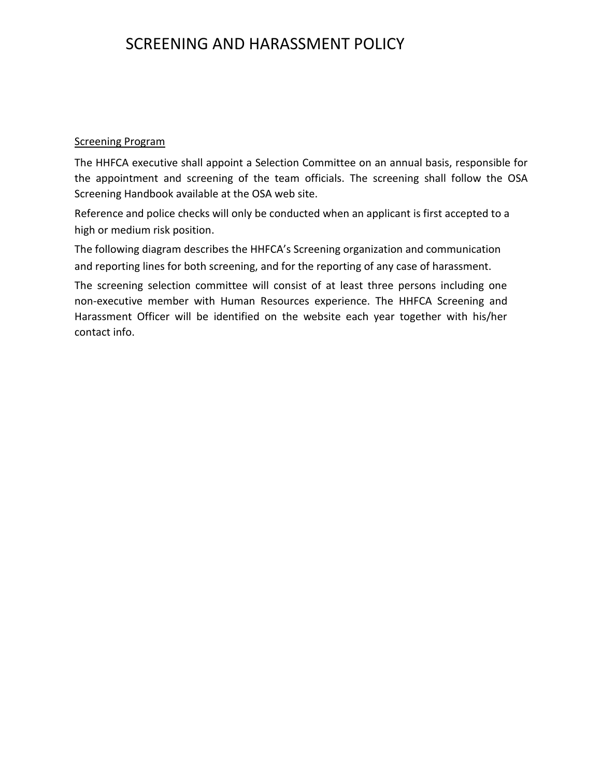#### Screening Program

The HHFCA executive shall appoint a Selection Committee on an annual basis, responsible for the appointment and screening of the team officials. The screening shall follow the OSA Screening Handbook available at the OSA web site.

Reference and police checks will only be conducted when an applicant is first accepted to a high or medium risk position.

The following diagram describes the HHFCA's Screening organization and communication and reporting lines for both screening, and for the reporting of any case of harassment.

The screening selection committee will consist of at least three persons including one non-executive member with Human Resources experience. The HHFCA Screening and Harassment Officer will be identified on the website each year together with his/her contact info.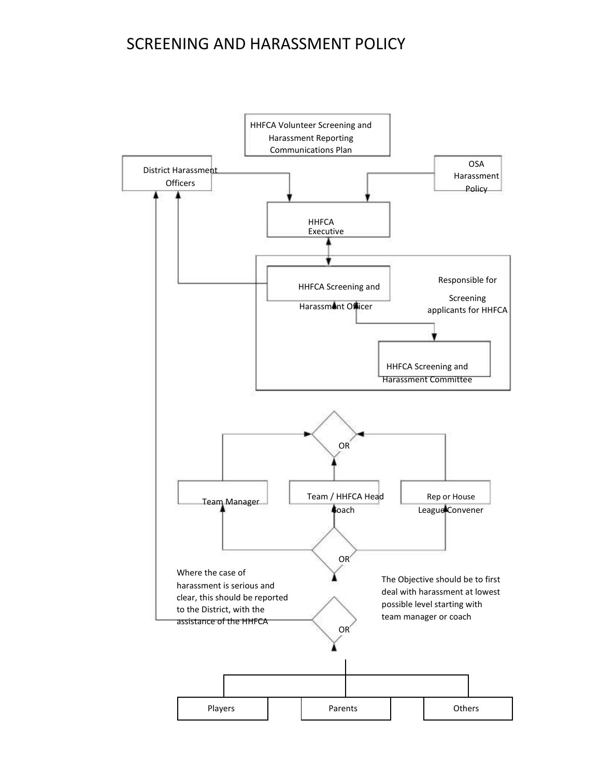